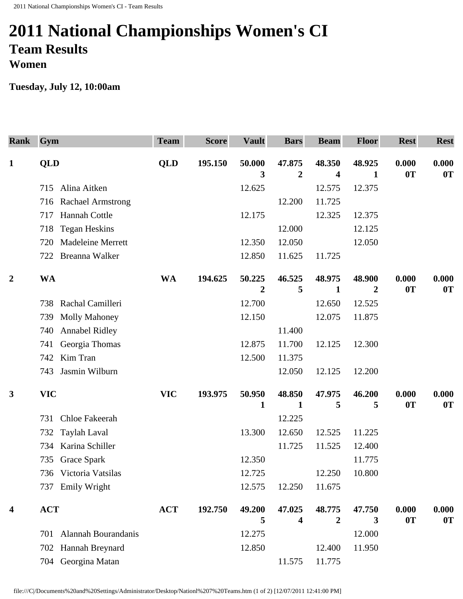## **2011 National Championships Women's CI Team Results Women**

**Tuesday, July 12, 10:00am** 

| <b>Rank</b>             | Gym                             | <b>Team</b> | <b>Score</b> | <b>Vault</b>   | <b>Bars</b>      | <b>Beam</b> | <b>Floor</b> | <b>Rest</b> | <b>Rest</b> |
|-------------------------|---------------------------------|-------------|--------------|----------------|------------------|-------------|--------------|-------------|-------------|
| $\mathbf{1}$            | <b>QLD</b>                      | <b>QLD</b>  | 195.150      | 50.000         | 47.875           | 48.350      | 48.925       | 0.000       | 0.000       |
|                         |                                 |             |              | 3              | $\boldsymbol{2}$ | 4           | 1            | 0T          | 0T          |
|                         | Alina Aitken<br>715             |             |              | 12.625         |                  | 12.575      | 12.375       |             |             |
|                         | 716 Rachael Armstrong           |             |              |                | 12.200           | 11.725      |              |             |             |
|                         | Hannah Cottle<br>717            |             |              | 12.175         |                  | 12.325      | 12.375       |             |             |
|                         | <b>Tegan Heskins</b><br>718     |             |              |                | 12.000           |             | 12.125       |             |             |
|                         | <b>Madeleine Merrett</b><br>720 |             |              | 12.350         | 12.050           |             | 12.050       |             |             |
|                         | 722 Breanna Walker              |             |              | 12.850         | 11.625           | 11.725      |              |             |             |
| $\overline{2}$          | <b>WA</b>                       | <b>WA</b>   | 194.625      | 50.225         | 46.525           | 48.975      | 48.900       | 0.000       | 0.000       |
|                         |                                 |             |              | $\overline{2}$ | 5                | 1           | 2            | 0T          | 0T          |
|                         | Rachal Camilleri<br>738         |             |              | 12.700         |                  | 12.650      | 12.525       |             |             |
|                         | <b>Molly Mahoney</b><br>739     |             |              | 12.150         |                  | 12.075      | 11.875       |             |             |
|                         | <b>Annabel Ridley</b><br>740    |             |              |                | 11.400           |             |              |             |             |
|                         | Georgia Thomas<br>741           |             |              | 12.875         | 11.700           | 12.125      | 12.300       |             |             |
|                         | Kim Tran<br>742                 |             |              | 12.500         | 11.375           |             |              |             |             |
|                         | Jasmin Wilburn<br>743           |             |              |                | 12.050           | 12.125      | 12.200       |             |             |
| $\mathbf{3}$            | <b>VIC</b>                      | <b>VIC</b>  | 193.975      | 50.950<br>1    | 48.850<br>1      | 47.975<br>5 | 46.200<br>5  | 0.000<br>0T | 0.000<br>0T |
|                         | Chloe Fakeerah<br>731           |             |              |                | 12.225           |             |              |             |             |
|                         | <b>Taylah Laval</b><br>732      |             |              | 13.300         | 12.650           | 12.525      | 11.225       |             |             |
|                         | 734 Karina Schiller             |             |              |                | 11.725           | 11.525      | 12.400       |             |             |
|                         | 735 Grace Spark                 |             |              | 12.350         |                  |             | 11.775       |             |             |
|                         | 736 Victoria Vatsilas           |             |              | 12.725         |                  | 12.250      | 10.800       |             |             |
|                         | <b>Emily Wright</b><br>737      |             |              | 12.575         | 12.250           | 11.675      |              |             |             |
| $\overline{\mathbf{4}}$ | <b>ACT</b>                      | <b>ACT</b>  | 192.750      | 49.200         | 47.025           | 48.775      | 47.750       | 0.000       | 0.000       |
|                         |                                 |             |              | 5              | 4                | 2           | 3            | 0T          | 0T          |
|                         | Alannah Bourandanis<br>701      |             |              | 12.275         |                  |             | 12.000       |             |             |
|                         | Hannah Breynard<br>702          |             |              | 12.850         |                  | 12.400      | 11.950       |             |             |
|                         | Georgina Matan<br>704           |             |              |                | 11.575           | 11.775      |              |             |             |